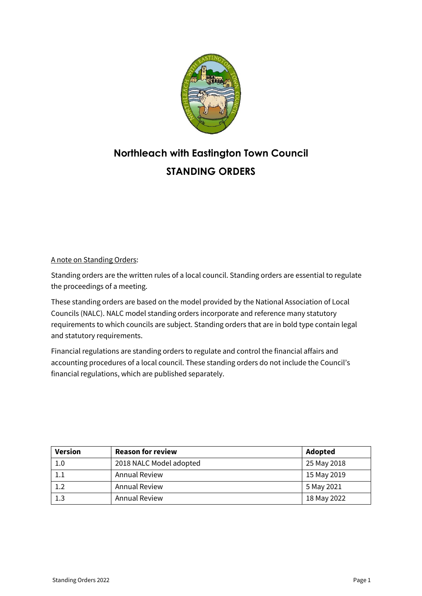

# **Northleach with Eastington Town Council STANDING ORDERS**

# A note on Standing Orders:

Standing orders are the written rules of a local council. Standing orders are essential to regulate the proceedings of a meeting.

These standing orders are based on the model provided by the National Association of Local Councils (NALC). NALC model standing orders incorporate and reference many statutory requirements to which councils are subject. Standing orders that are in bold type contain legal and statutory requirements.

Financial regulations are standing orders to regulate and control the financial affairs and accounting procedures of a local council. These standing orders do not include the Council's financial regulations, which are published separately.

| <b>Version</b> | <b>Reason for review</b> | Adopted     |
|----------------|--------------------------|-------------|
| 1.0            | 2018 NALC Model adopted  | 25 May 2018 |
| 1.1            | <b>Annual Review</b>     | 15 May 2019 |
| 1.2            | <b>Annual Review</b>     | 5 May 2021  |
| 1.3            | <b>Annual Review</b>     | 18 May 2022 |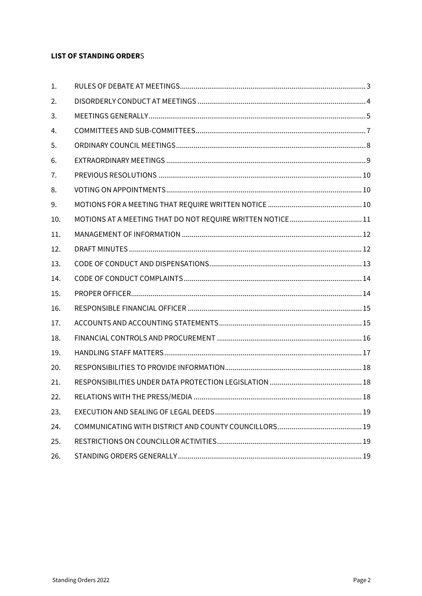# **LIST OF STANDING ORDERS**

| 1.  |  |
|-----|--|
| 2.  |  |
| 3.  |  |
| 4.  |  |
| 5.  |  |
| 6.  |  |
| 7.  |  |
| 8.  |  |
| 9.  |  |
| 10. |  |
| 11. |  |
| 12. |  |
| 13. |  |
| 14. |  |
| 15. |  |
| 16. |  |
| 17. |  |
| 18. |  |
| 19. |  |
| 20. |  |
| 21. |  |
| 22. |  |
| 23. |  |
| 24. |  |
| 25. |  |
| 26. |  |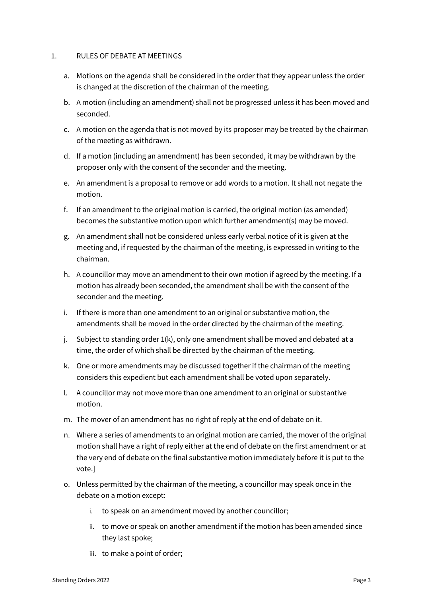## <span id="page-2-0"></span>1. RULES OF DEBATE AT MEETINGS

- a. Motions on the agenda shall be considered in the order that they appear unless the order is changed at the discretion of the chairman of the meeting.
- b. A motion (including an amendment) shall not be progressed unless it has been moved and seconded.
- c. A motion on the agenda that is not moved by its proposer may be treated by the chairman of the meeting as withdrawn.
- d. If a motion (including an amendment) has been seconded, it may be withdrawn by the proposer only with the consent of the seconder and the meeting.
- e. An amendment is a proposal to remove or add words to a motion. It shall not negate the motion.
- f. If an amendment to the original motion is carried, the original motion (as amended) becomes the substantive motion upon which further amendment(s) may be moved.
- g. An amendment shall not be considered unless early verbal notice of it is given at the meeting and, if requested by the chairman of the meeting, is expressed in writing to the chairman.
- h. A councillor may move an amendment to their own motion if agreed by the meeting. If a motion has already been seconded, the amendment shall be with the consent of the seconder and the meeting.
- i. If there is more than one amendment to an original or substantive motion, the amendments shall be moved in the order directed by the chairman of the meeting.
- j. Subject to standing order 1(k), only one amendment shall be moved and debated at a time, the order of which shall be directed by the chairman of the meeting.
- k. One or more amendments may be discussed together if the chairman of the meeting considers this expedient but each amendment shall be voted upon separately.
- l. A councillor may not move more than one amendment to an original or substantive motion.
- m. The mover of an amendment has no right of reply at the end of debate on it.
- n. Where a series of amendments to an original motion are carried, the mover of the original motion shall have a right of reply either at the end of debate on the first amendment or at the very end of debate on the final substantive motion immediately before it is put to the vote.]
- o. Unless permitted by the chairman of the meeting, a councillor may speak once in the debate on a motion except:
	- i. to speak on an amendment moved by another councillor;
	- ii. to move or speak on another amendment if the motion has been amended since they last spoke;
	- iii. to make a point of order;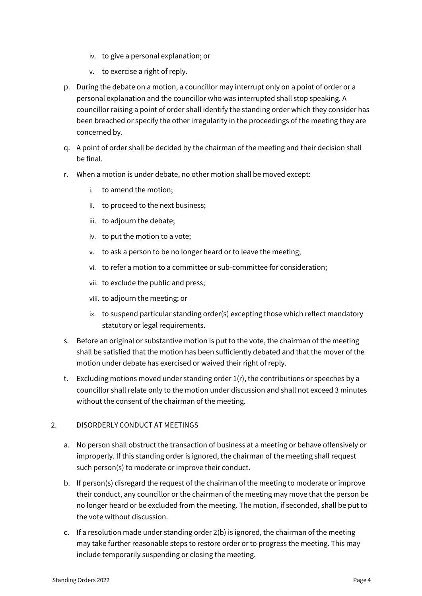- iv. to give a personal explanation; or
- v. to exercise a right of reply.
- p. During the debate on a motion, a councillor may interrupt only on a point of order or a personal explanation and the councillor who was interrupted shall stop speaking. A councillor raising a point of order shall identify the standing order which they consider has been breached or specify the other irregularity in the proceedings of the meeting they are concerned by.
- q. A point of order shall be decided by the chairman of the meeting and their decision shall be final.
- r. When a motion is under debate, no other motion shall be moved except:
	- i. to amend the motion;
	- ii. to proceed to the next business;
	- iii. to adjourn the debate;
	- iv. to put the motion to a vote;
	- v. to ask a person to be no longer heard or to leave the meeting;
	- vi. to refer a motion to a committee or sub-committee for consideration;
	- vii. to exclude the public and press;
	- viii. to adjourn the meeting; or
	- ix. to suspend particular standing order(s) excepting those which reflect mandatory statutory or legal requirements.
- s. Before an original or substantive motion is put to the vote, the chairman of the meeting shall be satisfied that the motion has been sufficiently debated and that the mover of the motion under debate has exercised or waived their right of reply.
- t. Excluding motions moved under standing order 1(r), the contributions or speeches by a councillor shall relate only to the motion under discussion and shall not exceed 3 minutes without the consent of the chairman of the meeting.

## <span id="page-3-0"></span>2. DISORDERLY CONDUCT AT MEETINGS

- a. No person shall obstruct the transaction of business at a meeting or behave offensively or improperly. If this standing order is ignored, the chairman of the meeting shall request such person(s) to moderate or improve their conduct.
- b. If person(s) disregard the request of the chairman of the meeting to moderate or improve their conduct, any councillor or the chairman of the meeting may move that the person be no longer heard or be excluded from the meeting. The motion, if seconded, shall be put to the vote without discussion.
- c. If a resolution made under standing order 2(b) is ignored, the chairman of the meeting may take further reasonable steps to restore order or to progress the meeting. This may include temporarily suspending or closing the meeting.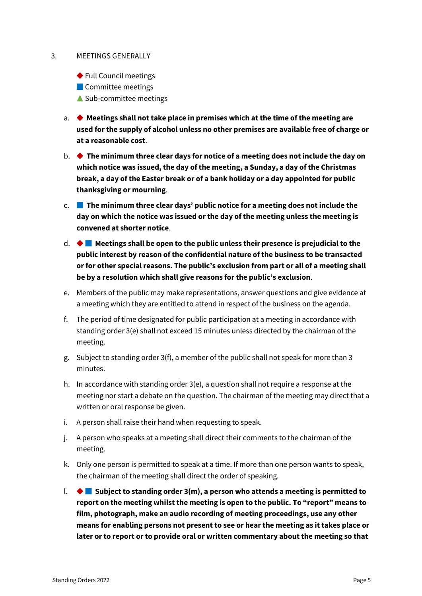## <span id="page-4-0"></span>3. MEETINGS GENERALLY

- ◆ Full Council meetings
- Committee meetings
- ▲ Sub-committee meetings
- a. ◆ **Meetings shall not take place in premises which at the time of the meeting are used for the supply of alcohol unless no other premises are available free of charge or at a reasonable cost**.
- b. ◆ **The minimum three clear days for notice of a meeting does not include the day on which notice was issued, the day of the meeting, a Sunday, a day of the Christmas break, a day of the Easter break or of a bank holiday or a day appointed for public thanksgiving or mourning**.
- c. **The minimum three clear days' public notice for a meeting does not include the day on which the notice was issued or the day of the meeting unless the meeting is convened at shorter notice**.
- d. ◆ **Meetings shall be open to the public unless their presence is prejudicial to the public interest by reason of the confidential nature of the business to be transacted or for other special reasons. The public's exclusion from part or all of a meeting shall be by a resolution which shall give reasons for the public's exclusion**.
- e. Members of the public may make representations, answer questions and give evidence at a meeting which they are entitled to attend in respect of the business on the agenda.
- f. The period of time designated for public participation at a meeting in accordance with standing order 3(e) shall not exceed 15 minutes unless directed by the chairman of the meeting.
- g. Subject to standing order 3(f), a member of the public shall not speak for more than 3 minutes.
- h. In accordance with standing order 3(e), a question shall not require a response at the meeting nor start a debate on the question. The chairman of the meeting may direct that a written or oral response be given.
- i. A person shall raise their hand when requesting to speak.
- j. A person who speaks at a meeting shall direct their comments to the chairman of the meeting.
- k. Only one person is permitted to speak at a time. If more than one person wants to speak, the chairman of the meeting shall direct the order of speaking.
- l. ◆ **Subject to standing order 3(m), a person who attends a meeting is permitted to report on the meeting whilst the meeting is open to the public. To "report" means to film, photograph, make an audio recording of meeting proceedings, use any other means for enabling persons not present to see or hear the meeting as it takes place or later or to report or to provide oral or written commentary about the meeting so that**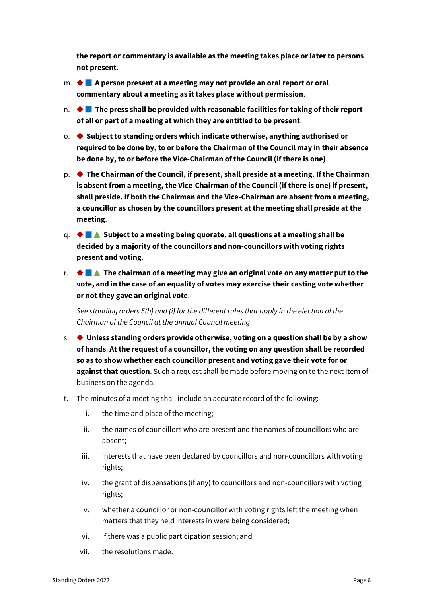**the report or commentary is available as the meeting takes place or later to persons not present**.

- m. ◆ **A person present at a meeting may not provide an oral report or oral commentary about a meeting as it takes place without permission**.
- n. ◆ **The press shall be provided with reasonable facilities for taking of their report of all or part of a meeting at which they are entitled to be present**.
- o. ◆ **Subject to standing orders which indicate otherwise, anything authorised or required to be done by, to or before the Chairman of the Council may in their absence be done by, to or before the Vice-Chairman of the Council (if there is one)**.
- p. ◆ **The Chairman of the Council, if present, shall preside at a meeting. If the Chairman is absent from a meeting, the Vice-Chairman of the Council (if there is one) if present, shall preside. If both the Chairman and the Vice-Chairman are absent from a meeting, a councillor as chosen by the councillors present at the meeting shall preside at the meeting**.
- q. ◆ ▲ **Subject to a meeting being quorate, all questions at a meeting shall be decided by a majority of the councillors and non-councillors with voting rights present and voting**.
- r. ◆ ▲ **The chairman of a meeting may give an original vote on any matter put to the vote, and in the case of an equality of votes may exercise their casting vote whether or not they gave an original vote**.

*See standing orders 5(h) and (i) for the different rules that apply in the election of the Chairman of the Council at the annual Council meeting*.

- s. ◆ **Unless standing orders provide otherwise, voting on a question shall be by a show of hands**. **At the request of a councillor, the voting on any question shall be recorded so as to show whether each councillor present and voting gave their vote for or against that question**. Such a request shall be made before moving on to the next item of business on the agenda.
- t. The minutes of a meeting shall include an accurate record of the following:
	- i. the time and place of the meeting;
	- ii. the names of councillors who are present and the names of councillors who are absent;
	- iii. interests that have been declared by councillors and non-councillors with voting rights;
	- iv. the grant of dispensations (if any) to councillors and non-councillors with voting rights;
	- v. whether a councillor or non-councillor with voting rights left the meeting when matters that they held interests in were being considered;
	- vi. if there was a public participation session; and
	- vii. the resolutions made.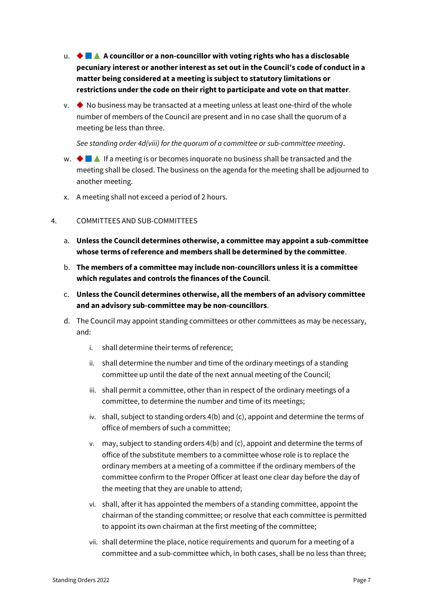- u. ◆ ▲ **A councillor or a non-councillor with voting rights who has a disclosable pecuniary interest or another interest as set out in the Council's code of conduct in a matter being considered at a meeting is subject to statutory limitations or restrictions under the code on their right to participate and vote on that matter**.
- $\vee$ .  $\blacklozenge$  No business may be transacted at a meeting unless at least one-third of the whole number of members of the Council are present and in no case shall the quorum of a meeting be less than three.

*See standing order 4d(viii) for the quorum of a committee or sub-committee meeting*.

- w.  $\blacklozenge$  If a meeting is or becomes inquorate no business shall be transacted and the meeting shall be closed. The business on the agenda for the meeting shall be adjourned to another meeting.
- x. A meeting shall not exceed a period of 2 hours.

## <span id="page-6-0"></span>4. COMMITTEES AND SUB-COMMITTEES

- a. **Unless the Council determines otherwise, a committee may appoint a sub-committee whose terms of reference and members shall be determined by the committee**.
- b. **The members of a committee may include non-councillors unless it is a committee which regulates and controls the finances of the Council**.
- c. **Unless the Council determines otherwise, all the members of an advisory committee and an advisory sub-committee may be non-councillors**.
- d. The Council may appoint standing committees or other committees as may be necessary, and:
	- i. shall determine their terms of reference;
	- ii. shall determine the number and time of the ordinary meetings of a standing committee up until the date of the next annual meeting of the Council;
	- iii. shall permit a committee, other than in respect of the ordinary meetings of a committee, to determine the number and time of its meetings;
	- iv. shall, subject to standing orders 4(b) and (c), appoint and determine the terms of office of members of such a committee;
	- v. may, subject to standing orders 4(b) and (c), appoint and determine the terms of office of the substitute members to a committee whose role is to replace the ordinary members at a meeting of a committee if the ordinary members of the committee confirm to the Proper Officer at least one clear day before the day of the meeting that they are unable to attend;
	- vi. shall, after it has appointed the members of a standing committee, appoint the chairman of the standing committee; or resolve that each committee is permitted to appoint its own chairman at the first meeting of the committee;
	- vii. shall determine the place, notice requirements and quorum for a meeting of a committee and a sub-committee which, in both cases, shall be no less than three;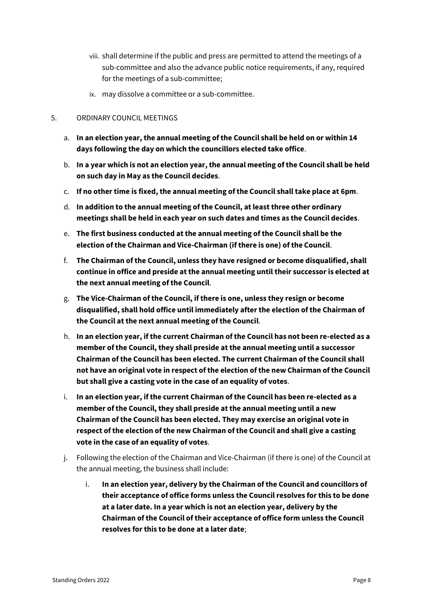- viii. shall determine if the public and press are permitted to attend the meetings of a sub-committee and also the advance public notice requirements, if any, required for the meetings of a sub-committee;
- ix. may dissolve a committee or a sub-committee.

## <span id="page-7-0"></span>5. ORDINARY COUNCIL MEETINGS

- a. **In an election year, the annual meeting of the Council shall be held on or within 14 days following the day on which the councillors elected take office**.
- b. **In a year which is not an election year, the annual meeting of the Council shall be held on such day in May as the Council decides**.
- c. **If no other time is fixed, the annual meeting of the Council shall take place at 6pm**.
- d. **In addition to the annual meeting of the Council, at least three other ordinary meetings shall be held in each year on such dates and times as the Council decides**.
- e. **The first business conducted at the annual meeting of the Council shall be the election of the Chairman and Vice-Chairman (if there is one) of the Council**.
- f. **The Chairman of the Council, unless they have resigned or become disqualified, shall continue in office and preside at the annual meeting until their successor is elected at the next annual meeting of the Council**.
- g. **The Vice-Chairman of the Council, if there is one, unless they resign or become disqualified, shall hold office until immediately after the election of the Chairman of the Council at the next annual meeting of the Council**.
- h. **In an election year, if the current Chairman of the Council has not been re-elected as a member of the Council, they shall preside at the annual meeting until a successor Chairman of the Council has been elected. The current Chairman of the Council shall not have an original vote in respect of the election of the new Chairman of the Council but shall give a casting vote in the case of an equality of votes**.
- i. **In an election year, if the current Chairman of the Council has been re-elected as a member of the Council, they shall preside at the annual meeting until a new Chairman of the Council has been elected. They may exercise an original vote in respect of the election of the new Chairman of the Council and shall give a casting vote in the case of an equality of votes**.
- j. Following the election of the Chairman and Vice-Chairman (if there is one) of the Council at the annual meeting, the business shall include:
	- i. **In an election year, delivery by the Chairman of the Council and councillors of their acceptance of office forms unless the Council resolves for this to be done at a later date. In a year which is not an election year, delivery by the Chairman of the Council of their acceptance of office form unless the Council resolves for this to be done at a later date**;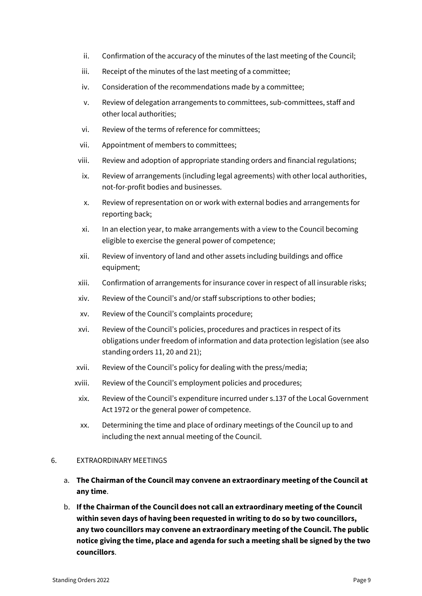- ii. Confirmation of the accuracy of the minutes of the last meeting of the Council;
- iii. Receipt of the minutes of the last meeting of a committee;
- iv. Consideration of the recommendations made by a committee;
- v. Review of delegation arrangements to committees, sub-committees, staff and other local authorities;
- vi. Review of the terms of reference for committees;
- vii. Appointment of members to committees;
- viii. Review and adoption of appropriate standing orders and financial regulations;
- ix. Review of arrangements (including legal agreements) with other local authorities, not-for-profit bodies and businesses.
- x. Review of representation on or work with external bodies and arrangements for reporting back;
- xi. In an election year, to make arrangements with a view to the Council becoming eligible to exercise the general power of competence;
- xii. Review of inventory of land and other assets including buildings and office equipment;
- xiii. Confirmation of arrangements for insurance cover in respect of all insurable risks;
- xiv. Review of the Council's and/or staff subscriptions to other bodies;
- xv. Review of the Council's complaints procedure;
- xvi. Review of the Council's policies, procedures and practices in respect of its obligations under freedom of information and data protection legislation (see also standing orders 11, 20 and 21);
- xvii. Review of the Council's policy for dealing with the press/media;
- xviii. Review of the Council's employment policies and procedures;
- xix. Review of the Council's expenditure incurred under s.137 of the Local Government Act 1972 or the general power of competence.
- xx. Determining the time and place of ordinary meetings of the Council up to and including the next annual meeting of the Council.

## <span id="page-8-0"></span>6. EXTRAORDINARY MEETINGS

- a. **The Chairman of the Council may convene an extraordinary meeting of the Council at any time**.
- b. **If the Chairman of the Council does not call an extraordinary meeting of the Council within seven days of having been requested in writing to do so by two councillors, any two councillors may convene an extraordinary meeting of the Council. The public notice giving the time, place and agenda for such a meeting shall be signed by the two councillors**.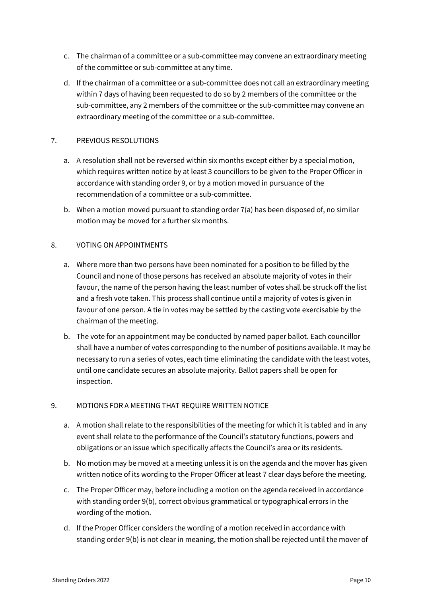- c. The chairman of a committee or a sub-committee may convene an extraordinary meeting of the committee or sub-committee at any time.
- d. If the chairman of a committee or a sub-committee does not call an extraordinary meeting within 7 days of having been requested to do so by 2 members of the committee or the sub-committee, any 2 members of the committee or the sub-committee may convene an extraordinary meeting of the committee or a sub-committee.

## <span id="page-9-0"></span>7. PREVIOUS RESOLUTIONS

- a. A resolution shall not be reversed within six months except either by a special motion, which requires written notice by at least 3 councillors to be given to the Proper Officer in accordance with standing order 9, or by a motion moved in pursuance of the recommendation of a committee or a sub-committee.
- b. When a motion moved pursuant to standing order 7(a) has been disposed of, no similar motion may be moved for a further six months.

## <span id="page-9-1"></span>8. VOTING ON APPOINTMENTS

- a. Where more than two persons have been nominated for a position to be filled by the Council and none of those persons has received an absolute majority of votes in their favour, the name of the person having the least number of votes shall be struck off the list and a fresh vote taken. This process shall continue until a majority of votes is given in favour of one person. A tie in votes may be settled by the casting vote exercisable by the chairman of the meeting.
- b. The vote for an appointment may be conducted by named paper ballot. Each councillor shall have a number of votes corresponding to the number of positions available. It may be necessary to run a series of votes, each time eliminating the candidate with the least votes, until one candidate secures an absolute majority. Ballot papers shall be open for inspection.

# <span id="page-9-2"></span>9. MOTIONS FOR A MEETING THAT REQUIRE WRITTEN NOTICE

- a. A motion shall relate to the responsibilities of the meeting for which it is tabled and in any event shall relate to the performance of the Council's statutory functions, powers and obligations or an issue which specifically affects the Council's area or its residents.
- b. No motion may be moved at a meeting unless it is on the agenda and the mover has given written notice of its wording to the Proper Officer at least 7 clear days before the meeting.
- c. The Proper Officer may, before including a motion on the agenda received in accordance with standing order 9(b), correct obvious grammatical or typographical errors in the wording of the motion.
- d. If the Proper Officer considers the wording of a motion received in accordance with standing order 9(b) is not clear in meaning, the motion shall be rejected until the mover of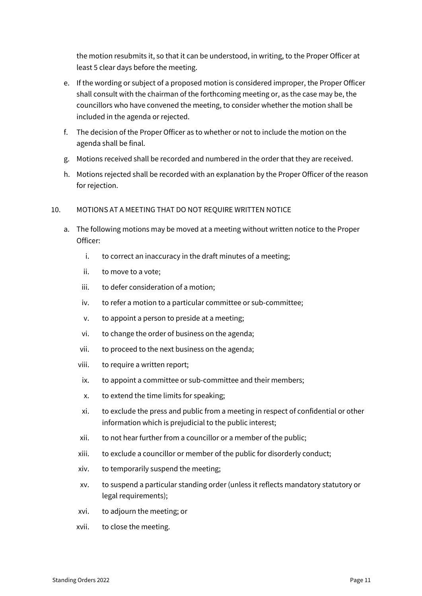the motion resubmits it, so that it can be understood, in writing, to the Proper Officer at least 5 clear days before the meeting.

- e. If the wording or subject of a proposed motion is considered improper, the Proper Officer shall consult with the chairman of the forthcoming meeting or, as the case may be, the councillors who have convened the meeting, to consider whether the motion shall be included in the agenda or rejected.
- f. The decision of the Proper Officer as to whether or not to include the motion on the agenda shall be final.
- g. Motions received shall be recorded and numbered in the order that they are received.
- h. Motions rejected shall be recorded with an explanation by the Proper Officer of the reason for rejection.

## <span id="page-10-0"></span>10. MOTIONS AT A MEETING THAT DO NOT REQUIRE WRITTEN NOTICE

- a. The following motions may be moved at a meeting without written notice to the Proper Officer:
	- i. to correct an inaccuracy in the draft minutes of a meeting;
	- ii. to move to a vote;
	- iii. to defer consideration of a motion;
	- iv. to refer a motion to a particular committee or sub-committee;
	- v. to appoint a person to preside at a meeting;
	- vi. to change the order of business on the agenda;
	- vii. to proceed to the next business on the agenda;
	- viii. to require a written report;
	- ix. to appoint a committee or sub-committee and their members;
	- x. to extend the time limits for speaking;
	- xi. to exclude the press and public from a meeting in respect of confidential or other information which is prejudicial to the public interest;
	- xii. to not hear further from a councillor or a member of the public;
	- xiii. to exclude a councillor or member of the public for disorderly conduct;
	- xiv. to temporarily suspend the meeting;
	- xv. to suspend a particular standing order (unless it reflects mandatory statutory or legal requirements);
	- xvi. to adjourn the meeting; or
	- xvii. to close the meeting.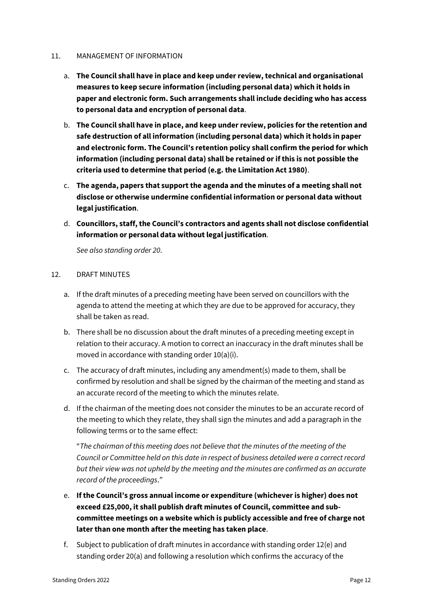## <span id="page-11-0"></span>11. MANAGEMENT OF INFORMATION

- a. **The Council shall have in place and keep under review, technical and organisational measures to keep secure information (including personal data) which it holds in paper and electronic form. Such arrangements shall include deciding who has access to personal data and encryption of personal data**.
- b. **The Council shall have in place, and keep under review, policies for the retention and safe destruction of all information (including personal data) which it holds in paper and electronic form. The Council's retention policy shall confirm the period for which information (including personal data) shall be retained or if this is not possible the criteria used to determine that period (e.g. the Limitation Act 1980)**.
- c. **The agenda, papers that support the agenda and the minutes of a meeting shall not disclose or otherwise undermine confidential information or personal data without legal justification**.
- d. **Councillors, staff, the Council's contractors and agents shall not disclose confidential information or personal data without legal justification**.

*See also standing order 20*.

# <span id="page-11-1"></span>12. DRAFT MINUTES

- a. If the draft minutes of a preceding meeting have been served on councillors with the agenda to attend the meeting at which they are due to be approved for accuracy, they shall be taken as read.
- b. There shall be no discussion about the draft minutes of a preceding meeting except in relation to their accuracy. A motion to correct an inaccuracy in the draft minutes shall be moved in accordance with standing order 10(a)(i).
- c. The accuracy of draft minutes, including any amendment(s) made to them, shall be confirmed by resolution and shall be signed by the chairman of the meeting and stand as an accurate record of the meeting to which the minutes relate.
- d. If the chairman of the meeting does not consider the minutes to be an accurate record of the meeting to which they relate, they shall sign the minutes and add a paragraph in the following terms or to the same effect:

"*The chairman of this meeting does not believe that the minutes of the meeting of the Council or Committee held on this date in respect of business detailed were a correct record but their view was not upheld by the meeting and the minutes are confirmed as an accurate record of the proceedings*."

- e. **If the Council's gross annual income or expenditure (whichever is higher) does not exceed £25,000, it shall publish draft minutes of Council, committee and subcommittee meetings on a website which is publicly accessible and free of charge not later than one month after the meeting has taken place**.
- f. Subject to publication of draft minutes in accordance with standing order 12(e) and standing order 20(a) and following a resolution which confirms the accuracy of the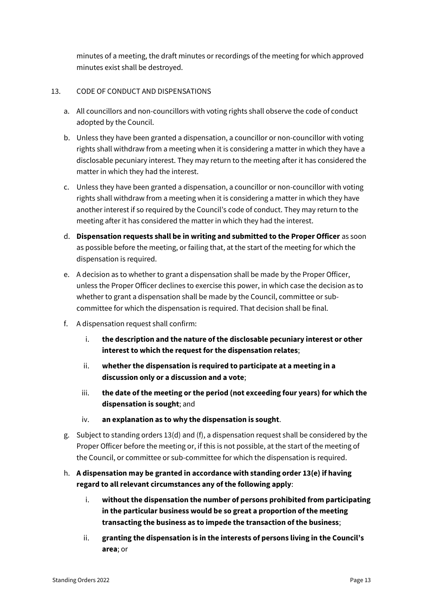minutes of a meeting, the draft minutes or recordings of the meeting for which approved minutes exist shall be destroyed.

# <span id="page-12-0"></span>13. CODE OF CONDUCT AND DISPENSATIONS

- a. All councillors and non-councillors with voting rights shall observe the code of conduct adopted by the Council.
- b. Unless they have been granted a dispensation, a councillor or non-councillor with voting rights shall withdraw from a meeting when it is considering a matter in which they have a disclosable pecuniary interest. They may return to the meeting after it has considered the matter in which they had the interest.
- c. Unless they have been granted a dispensation, a councillor or non-councillor with voting rights shall withdraw from a meeting when it is considering a matter in which they have another interest if so required by the Council's code of conduct. They may return to the meeting after it has considered the matter in which they had the interest.
- d. **Dispensation requests shall be in writing and submitted to the Proper Officer** as soon as possible before the meeting, or failing that, at the start of the meeting for which the dispensation is required.
- e. A decision as to whether to grant a dispensation shall be made by the Proper Officer, unless the Proper Officer declines to exercise this power, in which case the decision as to whether to grant a dispensation shall be made by the Council, committee or subcommittee for which the dispensation is required. That decision shall be final.
- f. A dispensation request shall confirm:
	- i. **the description and the nature of the disclosable pecuniary interest or other interest to which the request for the dispensation relates**;
	- ii. **whether the dispensation is required to participate at a meeting in a discussion only or a discussion and a vote**;
	- iii. **the date of the meeting or the period (not exceeding four years) for which the dispensation is sought**; and
	- iv. **an explanation as to why the dispensation is sought**.
- g. Subject to standing orders 13(d) and (f), a dispensation request shall be considered by the Proper Officer before the meeting or, if this is not possible, at the start of the meeting of the Council, or committee or sub-committee for which the dispensation is required.
- h. **A dispensation may be granted in accordance with standing order 13(e) if having regard to all relevant circumstances any of the following apply**:
	- i. **without the dispensation the number of persons prohibited from participating in the particular business would be so great a proportion of the meeting transacting the business as to impede the transaction of the business**;
	- ii. **granting the dispensation is in the interests of persons living in the Council's area**; or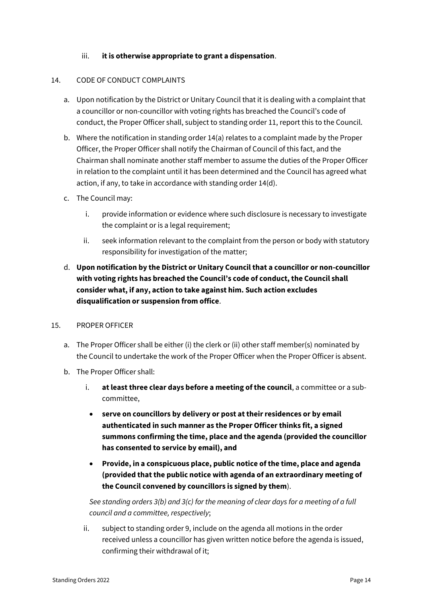# iii. **it is otherwise appropriate to grant a dispensation**.

## <span id="page-13-0"></span>14. CODE OF CONDUCT COMPLAINTS

- a. Upon notification by the District or Unitary Council that it is dealing with a complaint that a councillor or non-councillor with voting rights has breached the Council's code of conduct, the Proper Officer shall, subject to standing order 11, report this to the Council.
- b. Where the notification in standing order 14(a) relates to a complaint made by the Proper Officer, the Proper Officer shall notify the Chairman of Council of this fact, and the Chairman shall nominate another staff member to assume the duties of the Proper Officer in relation to the complaint until it has been determined and the Council has agreed what action, if any, to take in accordance with standing order 14(d).
- c. The Council may:
	- i. provide information or evidence where such disclosure is necessary to investigate the complaint or is a legal requirement;
	- ii. seek information relevant to the complaint from the person or body with statutory responsibility for investigation of the matter;
- d. **Upon notification by the District or Unitary Council that a councillor or non-councillor with voting rights has breached the Council's code of conduct, the Council shall consider what, if any, action to take against him. Such action excludes disqualification or suspension from office**.

# <span id="page-13-1"></span>15. PROPER OFFICER

- a. The Proper Officer shall be either (i) the clerk or (ii) other staff member(s) nominated by the Council to undertake the work of the Proper Officer when the Proper Officer is absent.
- b. The Proper Officer shall:
	- i. **at least three clear days before a meeting of the council**, a committee or a subcommittee,
		- **serve on councillors by delivery or post at their residences or by email authenticated in such manner as the Proper Officer thinks fit, a signed summons confirming the time, place and the agenda (provided the councillor has consented to service by email), and**
		- **Provide, in a conspicuous place, public notice of the time, place and agenda (provided that the public notice with agenda of an extraordinary meeting of the Council convened by councillors is signed by them**).

*See standing orders 3(b) and 3(c) for the meaning of clear days for a meeting of a full council and a committee, respectively*;

ii. subject to standing order 9, include on the agenda all motions in the order received unless a councillor has given written notice before the agenda is issued, confirming their withdrawal of it;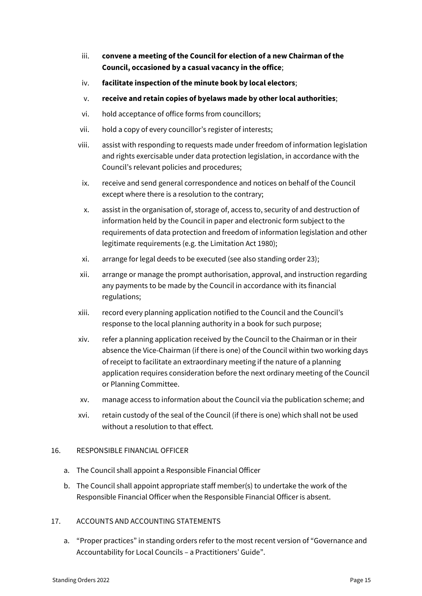- iii. **convene a meeting of the Council for election of a new Chairman of the Council, occasioned by a casual vacancy in the office**;
- iv. **facilitate inspection of the minute book by local electors**;
- v. **receive and retain copies of byelaws made by other local authorities**;
- vi. hold acceptance of office forms from councillors;
- vii. hold a copy of every councillor's register of interests;
- viii. assist with responding to requests made under freedom of information legislation and rights exercisable under data protection legislation, in accordance with the Council's relevant policies and procedures;
- ix. receive and send general correspondence and notices on behalf of the Council except where there is a resolution to the contrary;
- x. assist in the organisation of, storage of, access to, security of and destruction of information held by the Council in paper and electronic form subject to the requirements of data protection and freedom of information legislation and other legitimate requirements (e.g. the Limitation Act 1980);
- xi. arrange for legal deeds to be executed (see also standing order 23);
- xii. arrange or manage the prompt authorisation, approval, and instruction regarding any payments to be made by the Council in accordance with its financial regulations;
- xiii. record every planning application notified to the Council and the Council's response to the local planning authority in a book for such purpose;
- xiv. refer a planning application received by the Council to the Chairman or in their absence the Vice-Chairman (if there is one) of the Council within two working days of receipt to facilitate an extraordinary meeting if the nature of a planning application requires consideration before the next ordinary meeting of the Council or Planning Committee.
- xv. manage access to information about the Council via the publication scheme; and
- xvi. retain custody of the seal of the Council (if there is one) which shall not be used without a resolution to that effect.

# <span id="page-14-0"></span>16. RESPONSIBLE FINANCIAL OFFICER

- a. The Council shall appoint a Responsible Financial Officer
- b. The Council shall appoint appropriate staff member(s) to undertake the work of the Responsible Financial Officer when the Responsible Financial Officer is absent.

# <span id="page-14-1"></span>17. ACCOUNTS AND ACCOUNTING STATEMENTS

a. "Proper practices" in standing orders refer to the most recent version of "Governance and Accountability for Local Councils – a Practitioners' Guide".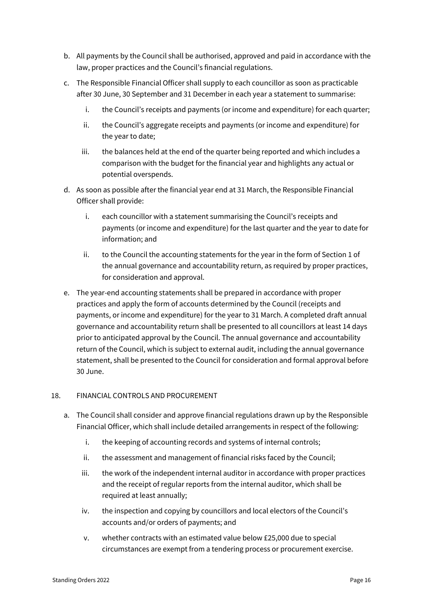- b. All payments by the Council shall be authorised, approved and paid in accordance with the law, proper practices and the Council's financial regulations.
- c. The Responsible Financial Officer shall supply to each councillor as soon as practicable after 30 June, 30 September and 31 December in each year a statement to summarise:
	- i. the Council's receipts and payments (or income and expenditure) for each quarter;
	- ii. the Council's aggregate receipts and payments (or income and expenditure) for the year to date;
	- iii. the balances held at the end of the quarter being reported and which includes a comparison with the budget for the financial year and highlights any actual or potential overspends.
- d. As soon as possible after the financial year end at 31 March, the Responsible Financial Officer shall provide:
	- i. each councillor with a statement summarising the Council's receipts and payments (or income and expenditure) for the last quarter and the year to date for information; and
	- ii. to the Council the accounting statements for the year in the form of Section 1 of the annual governance and accountability return, as required by proper practices, for consideration and approval.
- e. The year-end accounting statements shall be prepared in accordance with proper practices and apply the form of accounts determined by the Council (receipts and payments, or income and expenditure) for the year to 31 March. A completed draft annual governance and accountability return shall be presented to all councillors at least 14 days prior to anticipated approval by the Council. The annual governance and accountability return of the Council, which is subject to external audit, including the annual governance statement, shall be presented to the Council for consideration and formal approval before 30 June.

# <span id="page-15-0"></span>18. FINANCIAL CONTROLS AND PROCUREMENT

- a. The Council shall consider and approve financial regulations drawn up by the Responsible Financial Officer, which shall include detailed arrangements in respect of the following:
	- i. the keeping of accounting records and systems of internal controls;
	- ii. the assessment and management of financial risks faced by the Council;
	- iii. the work of the independent internal auditor in accordance with proper practices and the receipt of regular reports from the internal auditor, which shall be required at least annually;
	- iv. the inspection and copying by councillors and local electors of the Council's accounts and/or orders of payments; and
	- v. whether contracts with an estimated value below £25,000 due to special circumstances are exempt from a tendering process or procurement exercise.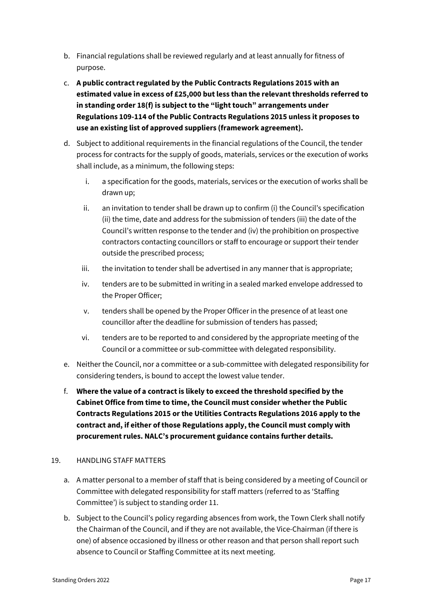- b. Financial regulations shall be reviewed regularly and at least annually for fitness of purpose.
- c. **A public contract regulated by the Public Contracts Regulations 2015 with an estimated value in excess of £25,000 but less than the relevant thresholds referred to in standing order 18(f) is subject to the "light touch" arrangements under Regulations 109-114 of the Public Contracts Regulations 2015 unless it proposes to use an existing list of approved suppliers (framework agreement).**
- d. Subject to additional requirements in the financial regulations of the Council, the tender process for contracts for the supply of goods, materials, services or the execution of works shall include, as a minimum, the following steps:
	- i. a specification for the goods, materials, services or the execution of works shall be drawn up;
	- ii. an invitation to tender shall be drawn up to confirm (i) the Council's specification (ii) the time, date and address for the submission of tenders (iii) the date of the Council's written response to the tender and (iv) the prohibition on prospective contractors contacting councillors or staff to encourage or support their tender outside the prescribed process;
	- iii. the invitation to tender shall be advertised in any manner that is appropriate;
	- iv. tenders are to be submitted in writing in a sealed marked envelope addressed to the Proper Officer;
	- v. tenders shall be opened by the Proper Officer in the presence of at least one councillor after the deadline for submission of tenders has passed;
	- vi. tenders are to be reported to and considered by the appropriate meeting of the Council or a committee or sub-committee with delegated responsibility.
- e. Neither the Council, nor a committee or a sub-committee with delegated responsibility for considering tenders, is bound to accept the lowest value tender.
- f. **Where the value of a contract is likely to exceed the threshold specified by the Cabinet Office from time to time, the Council must consider whether the Public Contracts Regulations 2015 or the Utilities Contracts Regulations 2016 apply to the contract and, if either of those Regulations apply, the Council must comply with procurement rules. NALC's procurement guidance contains further details.**

# <span id="page-16-0"></span>19. HANDLING STAFF MATTERS

- a. A matter personal to a member of staff that is being considered by a meeting of Council or Committee with delegated responsibility for staff matters (referred to as 'Staffing Committee') is subject to standing order 11.
- b. Subject to the Council's policy regarding absences from work, the Town Clerk shall notify the Chairman of the Council, and if they are not available, the Vice-Chairman (if there is one) of absence occasioned by illness or other reason and that person shall report such absence to Council or Staffing Committee at its next meeting.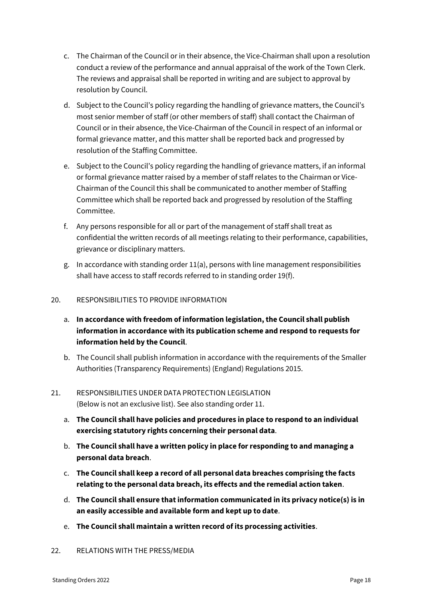- c. The Chairman of the Council or in their absence, the Vice-Chairman shall upon a resolution conduct a review of the performance and annual appraisal of the work of the Town Clerk. The reviews and appraisal shall be reported in writing and are subject to approval by resolution by Council.
- d. Subject to the Council's policy regarding the handling of grievance matters, the Council's most senior member of staff (or other members of staff) shall contact the Chairman of Council or in their absence, the Vice-Chairman of the Council in respect of an informal or formal grievance matter, and this matter shall be reported back and progressed by resolution of the Staffing Committee.
- e. Subject to the Council's policy regarding the handling of grievance matters, if an informal or formal grievance matter raised by a member of staff relates to the Chairman or Vice-Chairman of the Council this shall be communicated to another member of Staffing Committee which shall be reported back and progressed by resolution of the Staffing Committee.
- f. Any persons responsible for all or part of the management of staff shall treat as confidential the written records of all meetings relating to their performance, capabilities, grievance or disciplinary matters.
- g. In accordance with standing order 11(a), persons with line management responsibilities shall have access to staff records referred to in standing order 19(f).

# <span id="page-17-0"></span>20. RESPONSIBILITIES TO PROVIDE INFORMATION

- a. **In accordance with freedom of information legislation, the Council shall publish information in accordance with its publication scheme and respond to requests for information held by the Council**.
- b. The Council shall publish information in accordance with the requirements of the Smaller Authorities (Transparency Requirements) (England) Regulations 2015.
- <span id="page-17-1"></span>21. RESPONSIBILITIES UNDER DATA PROTECTION LEGISLATION (Below is not an exclusive list). See also standing order 11.
	- a. **The Council shall have policies and procedures in place to respond to an individual exercising statutory rights concerning their personal data**.
	- b. **The Council shall have a written policy in place for responding to and managing a personal data breach**.
	- c. **The Council shall keep a record of all personal data breaches comprising the facts relating to the personal data breach, its effects and the remedial action taken**.
	- d. **The Council shall ensure that information communicated in its privacy notice(s) is in an easily accessible and available form and kept up to date**.
	- e. **The Council shall maintain a written record of its processing activities**.
- <span id="page-17-2"></span>22. RELATIONS WITH THE PRESS/MEDIA